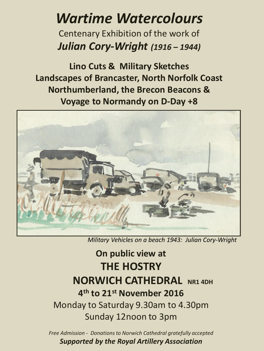## *Wartime Watercolours*

Centenary Exhibition of the work of *Julian Cory-Wright (1916 – 1944)*

**Lino Cuts & Military Sketches Landscapes of Brancaster, North Norfolk Coast Northumberland, the Brecon Beacons & Voyage to Normandy on D-Day +8** 



*Military Vehicles on a beach 1943: Julian Cory-Wright*

## **On public view at THE HOSTRY NORWICH CATHEDRAL** NR1 4DH **4 th to 21st November 2016** Monday to Saturday 9.30am to 4.30pm Sunday 12noon to 3pm

*Free Admission - Donations to Norwich Cathedral gratefully accepted Supported by the Royal Artillery Association*